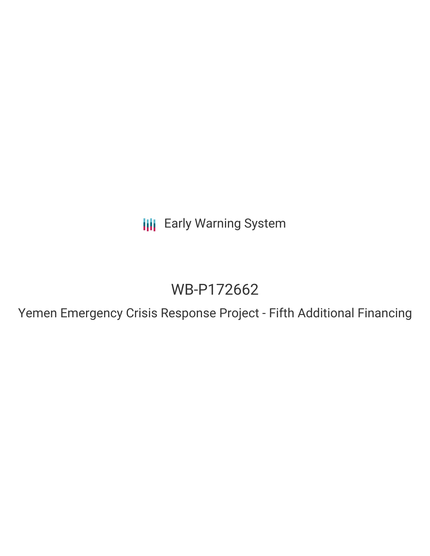**III** Early Warning System

# WB-P172662

Yemen Emergency Crisis Response Project - Fifth Additional Financing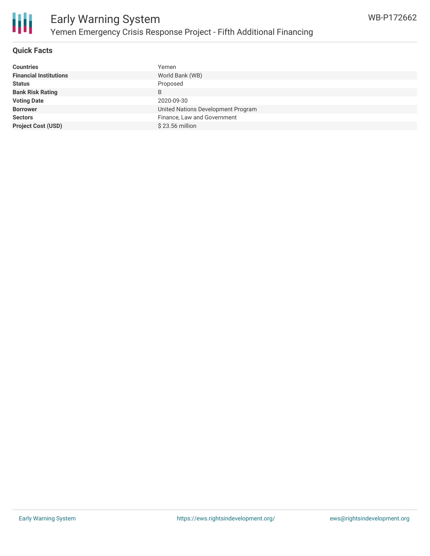

# **Quick Facts**

| <b>Countries</b>              | Yemen                              |
|-------------------------------|------------------------------------|
| <b>Financial Institutions</b> | World Bank (WB)                    |
| <b>Status</b>                 | Proposed                           |
| <b>Bank Risk Rating</b>       | B                                  |
| <b>Voting Date</b>            | 2020-09-30                         |
| <b>Borrower</b>               | United Nations Development Program |
| <b>Sectors</b>                | Finance, Law and Government        |
| <b>Project Cost (USD)</b>     | \$23.56 million                    |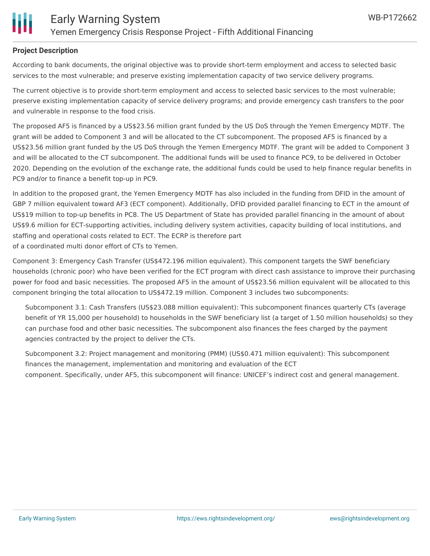

## **Project Description**

According to bank documents, the original objective was to provide short-term employment and access to selected basic services to the most vulnerable; and preserve existing implementation capacity of two service delivery programs.

The current objective is to provide short-term employment and access to selected basic services to the most vulnerable; preserve existing implementation capacity of service delivery programs; and provide emergency cash transfers to the poor and vulnerable in response to the food crisis.

The proposed AF5 is financed by a US\$23.56 million grant funded by the US DoS through the Yemen Emergency MDTF. The grant will be added to Component 3 and will be allocated to the CT subcomponent. The proposed AF5 is financed by a US\$23.56 million grant funded by the US DoS through the Yemen Emergency MDTF. The grant will be added to Component 3 and will be allocated to the CT subcomponent. The additional funds will be used to finance PC9, to be delivered in October 2020. Depending on the evolution of the exchange rate, the additional funds could be used to help finance regular benefits in PC9 and/or to finance a benefit top-up in PC9.

In addition to the proposed grant, the Yemen Emergency MDTF has also included in the funding from DFID in the amount of GBP 7 million equivalent toward AF3 (ECT component). Additionally, DFID provided parallel financing to ECT in the amount of US\$19 million to top-up benefits in PC8. The US Department of State has provided parallel financing in the amount of about US\$9.6 million for ECT-supporting activities, including delivery system activities, capacity building of local institutions, and staffing and operational costs related to ECT. The ECRP is therefore part of a coordinated multi donor effort of CTs to Yemen.

Component 3: Emergency Cash Transfer (US\$472.196 million equivalent). This component targets the SWF beneficiary households (chronic poor) who have been verified for the ECT program with direct cash assistance to improve their purchasing power for food and basic necessities. The proposed AF5 in the amount of US\$23.56 million equivalent will be allocated to this component bringing the total allocation to US\$472.19 million. Component 3 includes two subcomponents:

Subcomponent 3.1: Cash Transfers (US\$23.088 million equivalent): This subcomponent finances quarterly CTs (average benefit of YR 15,000 per household) to households in the SWF beneficiary list (a target of 1.50 million households) so they can purchase food and other basic necessities. The subcomponent also finances the fees charged by the payment agencies contracted by the project to deliver the CTs.

Subcomponent 3.2: Project management and monitoring (PMM) (US\$0.471 million equivalent): This subcomponent finances the management, implementation and monitoring and evaluation of the ECT component. Specifically, under AF5, this subcomponent will finance: UNICEF's indirect cost and general management.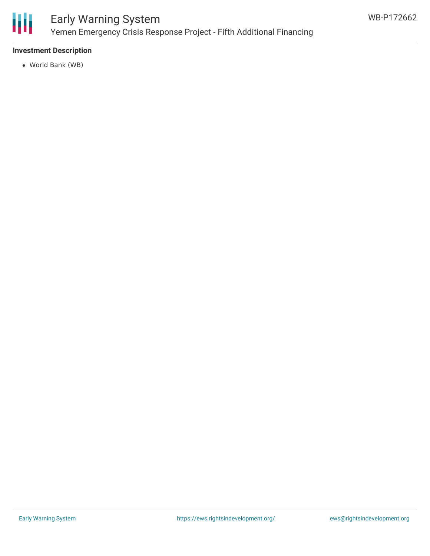

# Early Warning System Yemen Emergency Crisis Response Project - Fifth Additional Financing

# **Investment Description**

World Bank (WB)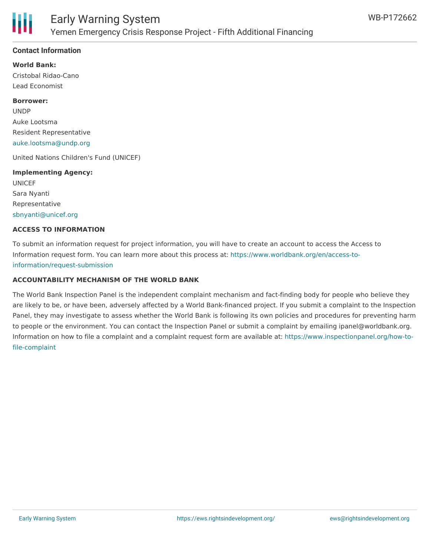

## **Contact Information**

**World Bank:** Cristobal Ridao-Cano Lead Economist

#### **Borrower:**

UNDP Auke Lootsma Resident Representative [auke.lootsma@undp.org](mailto:auke.lootsma@undp.org)

United Nations Children's Fund (UNICEF)

# **Implementing Agency:** UNICEF

Sara Nyanti Representative [sbnyanti@unicef.org](mailto:sbnyanti@unicef.org)

#### **ACCESS TO INFORMATION**

To submit an information request for project information, you will have to create an account to access the Access to Information request form. You can learn more about this process at: [https://www.worldbank.org/en/access-to](https://www.worldbank.org/en/access-to-information/request-submission)information/request-submission

## **ACCOUNTABILITY MECHANISM OF THE WORLD BANK**

The World Bank Inspection Panel is the independent complaint mechanism and fact-finding body for people who believe they are likely to be, or have been, adversely affected by a World Bank-financed project. If you submit a complaint to the Inspection Panel, they may investigate to assess whether the World Bank is following its own policies and procedures for preventing harm to people or the environment. You can contact the Inspection Panel or submit a complaint by emailing ipanel@worldbank.org. Information on how to file a complaint and a complaint request form are available at: [https://www.inspectionpanel.org/how-to](https://www.inspectionpanel.org/how-to-file-complaint)file-complaint